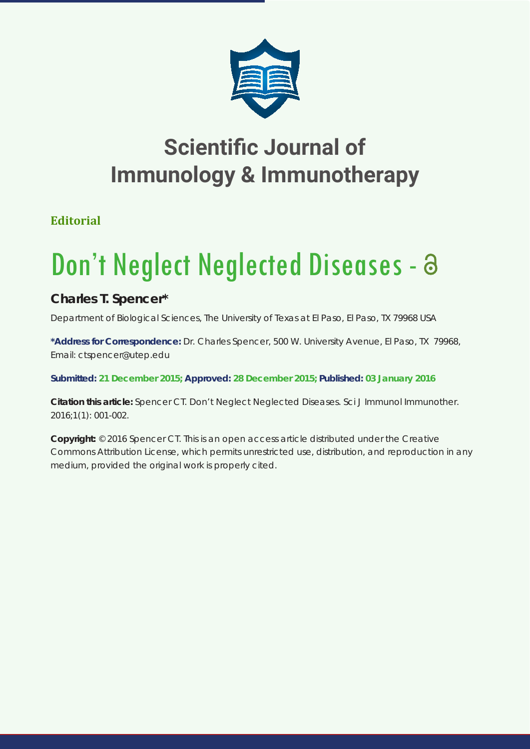

## **Scientific Journal of Immunology & Immunotherapy**

**Editorial**

## Don't Neglect Neglected Diseases - a

**Charles T. Spencer\*** 

*Department of Biological Sciences, The University of Texas at El Paso, El Paso, TX 79968 USA*

**\*Address for Correspondence:** Dr. Charles Spencer, 500 W. University Avenue, El Paso, TX 79968, Email: ctspencer@utep.edu

**Submitted: 21 December 2015; Approved: 28 December 2015; Published: 03 January 2016**

**Citation this article:** Spencer CT. Don't Neglect Neglected Diseases. Sci J Immunol Immunother. 2016;1(1): 001-002.

**Copyright:** © 2016 Spencer CT. This is an open access article distributed under the Creative Commons Attribution License, which permits unrestricted use, distribution, and reproduction in any medium, provided the original work is properly cited.